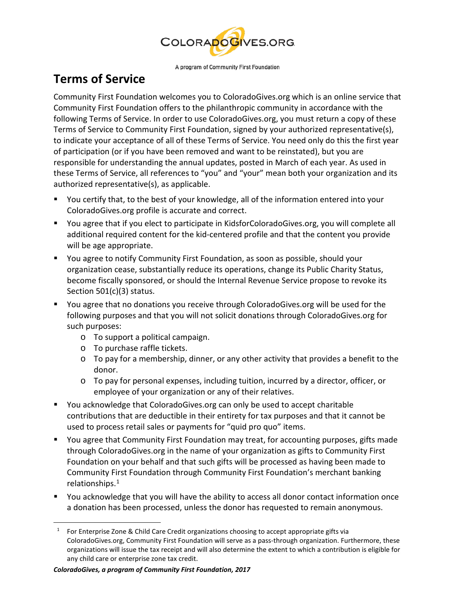

A program of Community First Foundation

## **Terms of Service**

Community First Foundation welcomes you to ColoradoGives.org which is an online service that Community First Foundation offers to the philanthropic community in accordance with the following Terms of Service. In order to use ColoradoGives.org, you must return a copy of these Terms of Service to Community First Foundation, signed by your authorized representative(s), to indicate your acceptance of all of these Terms of Service. You need only do this the first year of participation (or if you have been removed and want to be reinstated), but you are responsible for understanding the annual updates, posted in March of each year. As used in these Terms of Service, all references to "you" and "your" mean both your organization and its authorized representative(s), as applicable.

- You certify that, to the best of your knowledge, all of the information entered into your ColoradoGives.org profile is accurate and correct.
- You agree that if you elect to participate in KidsforColoradoGives.org, you will complete all additional required content for the kid-centered profile and that the content you provide will be age appropriate.
- You agree to notify Community First Foundation, as soon as possible, should your organization cease, substantially reduce its operations, change its Public Charity Status, become fiscally sponsored, or should the Internal Revenue Service propose to revoke its Section 501(c)(3) status.
- You agree that no donations you receive through ColoradoGives.org will be used for the following purposes and that you will not solicit donations through ColoradoGives.org for such purposes:
	- o To support a political campaign.
	- o To purchase raffle tickets.
	- o To pay for a membership, dinner, or any other activity that provides a benefit to the donor.
	- o To pay for personal expenses, including tuition, incurred by a director, officer, or employee of your organization or any of their relatives.
- You acknowledge that ColoradoGives.org can only be used to accept charitable contributions that are deductible in their entirety for tax purposes and that it cannot be used to process retail sales or payments for "quid pro quo" items.
- You agree that Community First Foundation may treat, for accounting purposes, gifts made through ColoradoGives.org in the name of your organization as gifts to Community First Foundation on your behalf and that such gifts will be processed as having been made to Community First Foundation through Community First Foundation's merchant banking relationships. [1](#page-0-0)
- You acknowledge that you will have the ability to access all donor contact information once a donation has been processed, unless the donor has requested to remain anonymous.

<span id="page-0-0"></span> $\overline{a}$ 

<sup>&</sup>lt;sup>1</sup> For Enterprise Zone & Child Care Credit organizations choosing to accept appropriate gifts via ColoradoGives.org, Community First Foundation will serve as a pass-through organization. Furthermore, these organizations will issue the tax receipt and will also determine the extent to which a contribution is eligible for any child care or enterprise zone tax credit.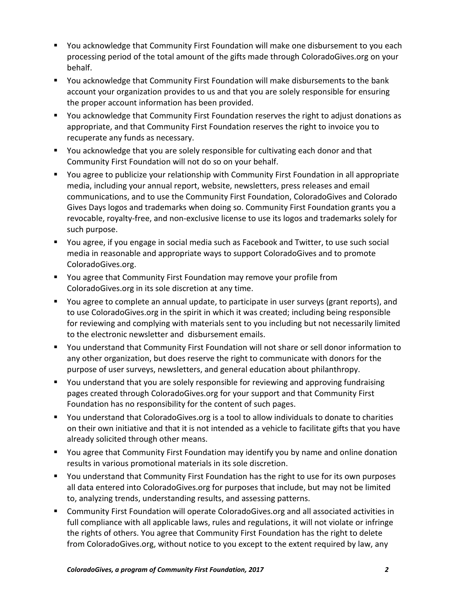- You acknowledge that Community First Foundation will make one disbursement to you each processing period of the total amount of the gifts made through ColoradoGives.org on your behalf.
- You acknowledge that Community First Foundation will make disbursements to the bank account your organization provides to us and that you are solely responsible for ensuring the proper account information has been provided.
- You acknowledge that Community First Foundation reserves the right to adjust donations as appropriate, and that Community First Foundation reserves the right to invoice you to recuperate any funds as necessary.
- You acknowledge that you are solely responsible for cultivating each donor and that Community First Foundation will not do so on your behalf.
- You agree to publicize your relationship with Community First Foundation in all appropriate media, including your annual report, website, newsletters, press releases and email communications, and to use the Community First Foundation, ColoradoGives and Colorado Gives Days logos and trademarks when doing so. Community First Foundation grants you a revocable, royalty-free, and non-exclusive license to use its logos and trademarks solely for such purpose.
- You agree, if you engage in social media such as Facebook and Twitter, to use such social media in reasonable and appropriate ways to support ColoradoGives and to promote ColoradoGives.org.
- You agree that Community First Foundation may remove your profile from ColoradoGives.org in its sole discretion at any time.
- You agree to complete an annual update, to participate in user surveys (grant reports), and to use ColoradoGives.org in the spirit in which it was created; including being responsible for reviewing and complying with materials sent to you including but not necessarily limited to the electronic newsletter and disbursement emails.
- You understand that Community First Foundation will not share or sell donor information to any other organization, but does reserve the right to communicate with donors for the purpose of user surveys, newsletters, and general education about philanthropy.
- You understand that you are solely responsible for reviewing and approving fundraising pages created through ColoradoGives.org for your support and that Community First Foundation has no responsibility for the content of such pages.
- You understand that ColoradoGives.org is a tool to allow individuals to donate to charities on their own initiative and that it is not intended as a vehicle to facilitate gifts that you have already solicited through other means.
- You agree that Community First Foundation may identify you by name and online donation results in various promotional materials in its sole discretion.
- You understand that Community First Foundation has the right to use for its own purposes all data entered into ColoradoGives.org for purposes that include, but may not be limited to, analyzing trends, understanding results, and assessing patterns.
- Community First Foundation will operate ColoradoGives.org and all associated activities in full compliance with all applicable laws, rules and regulations, it will not violate or infringe the rights of others. You agree that Community First Foundation has the right to delete from ColoradoGives.org, without notice to you except to the extent required by law, any